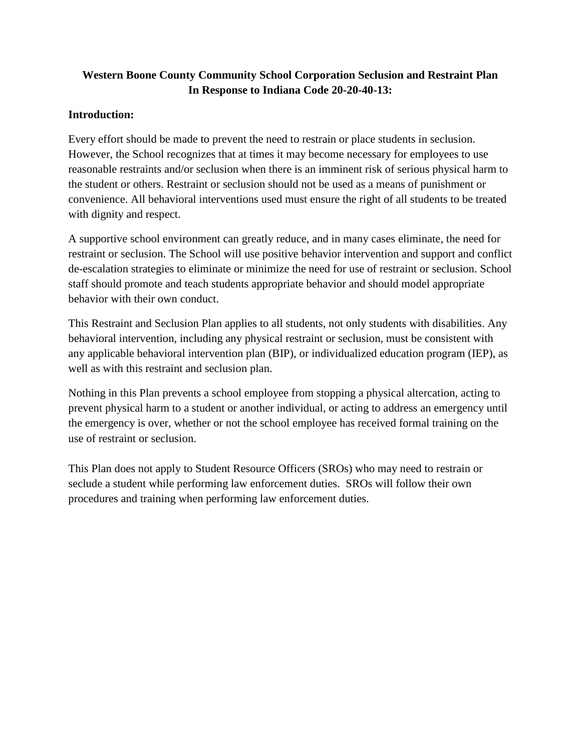# **Western Boone County Community School Corporation Seclusion and Restraint Plan In Response to Indiana Code 20-20-40-13:**

## **Introduction:**

Every effort should be made to prevent the need to restrain or place students in seclusion. However, the School recognizes that at times it may become necessary for employees to use reasonable restraints and/or seclusion when there is an imminent risk of serious physical harm to the student or others. Restraint or seclusion should not be used as a means of punishment or convenience. All behavioral interventions used must ensure the right of all students to be treated with dignity and respect.

A supportive school environment can greatly reduce, and in many cases eliminate, the need for restraint or seclusion. The School will use positive behavior intervention and support and conflict de-escalation strategies to eliminate or minimize the need for use of restraint or seclusion. School staff should promote and teach students appropriate behavior and should model appropriate behavior with their own conduct.

This Restraint and Seclusion Plan applies to all students, not only students with disabilities. Any behavioral intervention, including any physical restraint or seclusion, must be consistent with any applicable behavioral intervention plan (BIP), or individualized education program (IEP), as well as with this restraint and seclusion plan.

Nothing in this Plan prevents a school employee from stopping a physical altercation, acting to prevent physical harm to a student or another individual, or acting to address an emergency until the emergency is over, whether or not the school employee has received formal training on the use of restraint or seclusion.

This Plan does not apply to Student Resource Officers (SROs) who may need to restrain or seclude a student while performing law enforcement duties. SROs will follow their own procedures and training when performing law enforcement duties.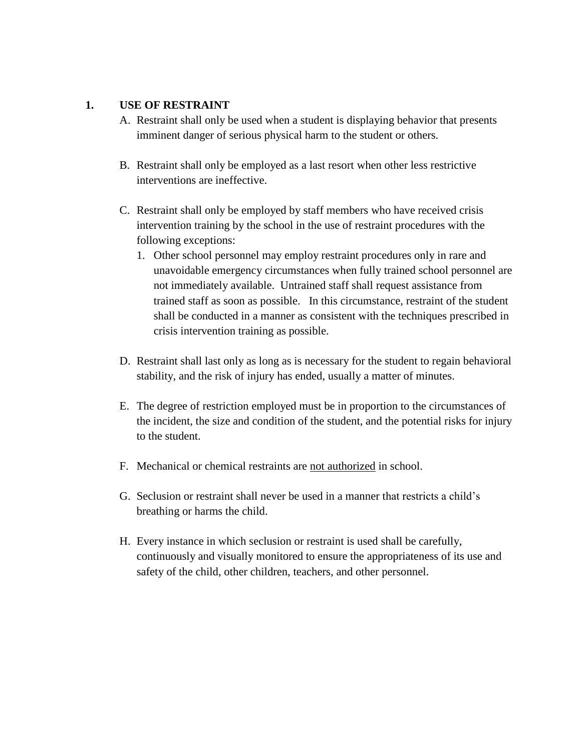#### **1. USE OF RESTRAINT**

- A. Restraint shall only be used when a student is displaying behavior that presents imminent danger of serious physical harm to the student or others.
- B. Restraint shall only be employed as a last resort when other less restrictive interventions are ineffective.
- C. Restraint shall only be employed by staff members who have received crisis intervention training by the school in the use of restraint procedures with the following exceptions:
	- 1. Other school personnel may employ restraint procedures only in rare and unavoidable emergency circumstances when fully trained school personnel are not immediately available. Untrained staff shall request assistance from trained staff as soon as possible. In this circumstance, restraint of the student shall be conducted in a manner as consistent with the techniques prescribed in crisis intervention training as possible.
- D. Restraint shall last only as long as is necessary for the student to regain behavioral stability, and the risk of injury has ended, usually a matter of minutes.
- E. The degree of restriction employed must be in proportion to the circumstances of the incident, the size and condition of the student, and the potential risks for injury to the student.
- F. Mechanical or chemical restraints are not authorized in school.
- G. Seclusion or restraint shall never be used in a manner that restricts a child's breathing or harms the child.
- H. Every instance in which seclusion or restraint is used shall be carefully, continuously and visually monitored to ensure the appropriateness of its use and safety of the child, other children, teachers, and other personnel.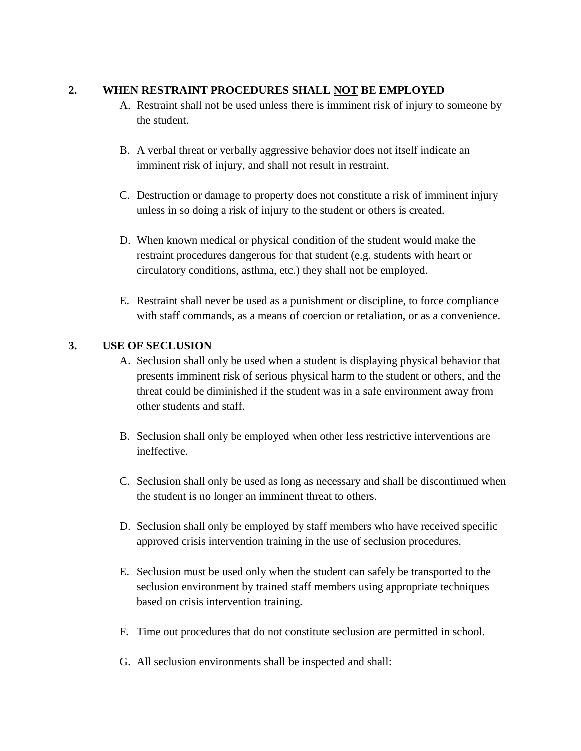#### **2. WHEN RESTRAINT PROCEDURES SHALL NOT BE EMPLOYED**

- A. Restraint shall not be used unless there is imminent risk of injury to someone by the student.
- B. A verbal threat or verbally aggressive behavior does not itself indicate an imminent risk of injury, and shall not result in restraint.
- C. Destruction or damage to property does not constitute a risk of imminent injury unless in so doing a risk of injury to the student or others is created.
- D. When known medical or physical condition of the student would make the restraint procedures dangerous for that student (e.g. students with heart or circulatory conditions, asthma, etc.) they shall not be employed.
- E. Restraint shall never be used as a punishment or discipline, to force compliance with staff commands, as a means of coercion or retaliation, or as a convenience.

### **3. USE OF SECLUSION**

- A. Seclusion shall only be used when a student is displaying physical behavior that presents imminent risk of serious physical harm to the student or others, and the threat could be diminished if the student was in a safe environment away from other students and staff.
- B. Seclusion shall only be employed when other less restrictive interventions are ineffective.
- C. Seclusion shall only be used as long as necessary and shall be discontinued when the student is no longer an imminent threat to others.
- D. Seclusion shall only be employed by staff members who have received specific approved crisis intervention training in the use of seclusion procedures.
- E. Seclusion must be used only when the student can safely be transported to the seclusion environment by trained staff members using appropriate techniques based on crisis intervention training.
- F. Time out procedures that do not constitute seclusion are permitted in school.
- G. All seclusion environments shall be inspected and shall: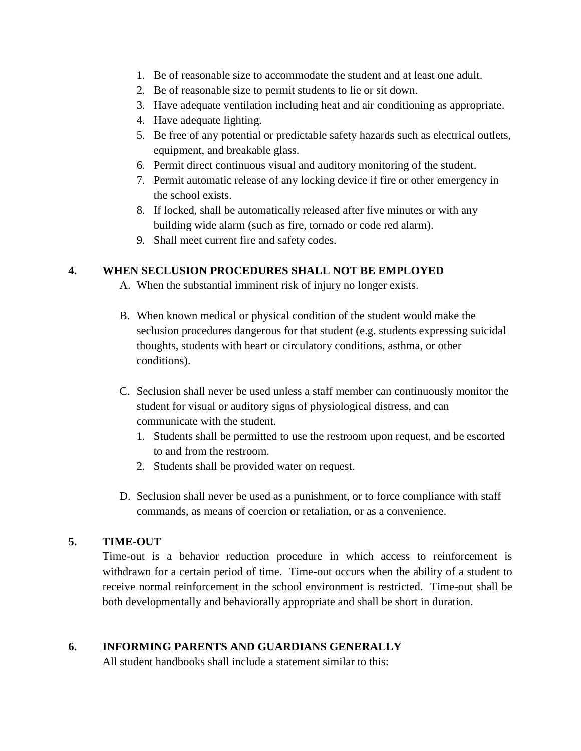- 1. Be of reasonable size to accommodate the student and at least one adult.
- 2. Be of reasonable size to permit students to lie or sit down.
- 3. Have adequate ventilation including heat and air conditioning as appropriate.
- 4. Have adequate lighting.
- 5. Be free of any potential or predictable safety hazards such as electrical outlets, equipment, and breakable glass.
- 6. Permit direct continuous visual and auditory monitoring of the student.
- 7. Permit automatic release of any locking device if fire or other emergency in the school exists.
- 8. If locked, shall be automatically released after five minutes or with any building wide alarm (such as fire, tornado or code red alarm).
- 9. Shall meet current fire and safety codes.

## **4. WHEN SECLUSION PROCEDURES SHALL NOT BE EMPLOYED**

- A. When the substantial imminent risk of injury no longer exists.
- B. When known medical or physical condition of the student would make the seclusion procedures dangerous for that student (e.g. students expressing suicidal thoughts, students with heart or circulatory conditions, asthma, or other conditions).
- C. Seclusion shall never be used unless a staff member can continuously monitor the student for visual or auditory signs of physiological distress, and can communicate with the student.
	- 1. Students shall be permitted to use the restroom upon request, and be escorted to and from the restroom.
	- 2. Students shall be provided water on request.
- D. Seclusion shall never be used as a punishment, or to force compliance with staff commands, as means of coercion or retaliation, or as a convenience.

### **5. TIME-OUT**

Time-out is a behavior reduction procedure in which access to reinforcement is withdrawn for a certain period of time. Time-out occurs when the ability of a student to receive normal reinforcement in the school environment is restricted. Time-out shall be both developmentally and behaviorally appropriate and shall be short in duration.

# **6. INFORMING PARENTS AND GUARDIANS GENERALLY**

All student handbooks shall include a statement similar to this: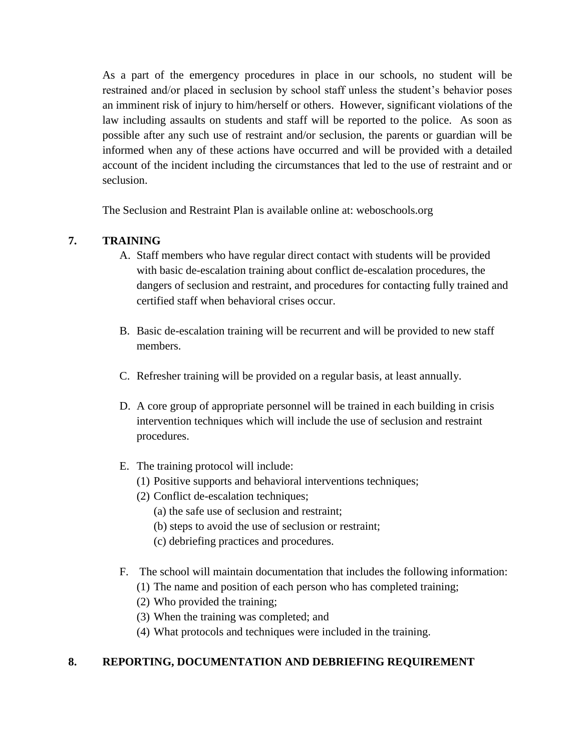As a part of the emergency procedures in place in our schools, no student will be restrained and/or placed in seclusion by school staff unless the student's behavior poses an imminent risk of injury to him/herself or others. However, significant violations of the law including assaults on students and staff will be reported to the police. As soon as possible after any such use of restraint and/or seclusion, the parents or guardian will be informed when any of these actions have occurred and will be provided with a detailed account of the incident including the circumstances that led to the use of restraint and or seclusion.

The Seclusion and Restraint Plan is available online at: weboschools.org

## **7. TRAINING**

- A. Staff members who have regular direct contact with students will be provided with basic de-escalation training about conflict de-escalation procedures, the dangers of seclusion and restraint, and procedures for contacting fully trained and certified staff when behavioral crises occur.
- B. Basic de-escalation training will be recurrent and will be provided to new staff members.
- C. Refresher training will be provided on a regular basis, at least annually.
- D. A core group of appropriate personnel will be trained in each building in crisis intervention techniques which will include the use of seclusion and restraint procedures.
- E. The training protocol will include:
	- (1) Positive supports and behavioral interventions techniques;
	- (2) Conflict de-escalation techniques;
		- (a) the safe use of seclusion and restraint;
		- (b) steps to avoid the use of seclusion or restraint;
		- (c) debriefing practices and procedures.
- F. The school will maintain documentation that includes the following information:
	- (1) The name and position of each person who has completed training;
	- (2) Who provided the training;
	- (3) When the training was completed; and
	- (4) What protocols and techniques were included in the training.

# **8. REPORTING, DOCUMENTATION AND DEBRIEFING REQUIREMENT**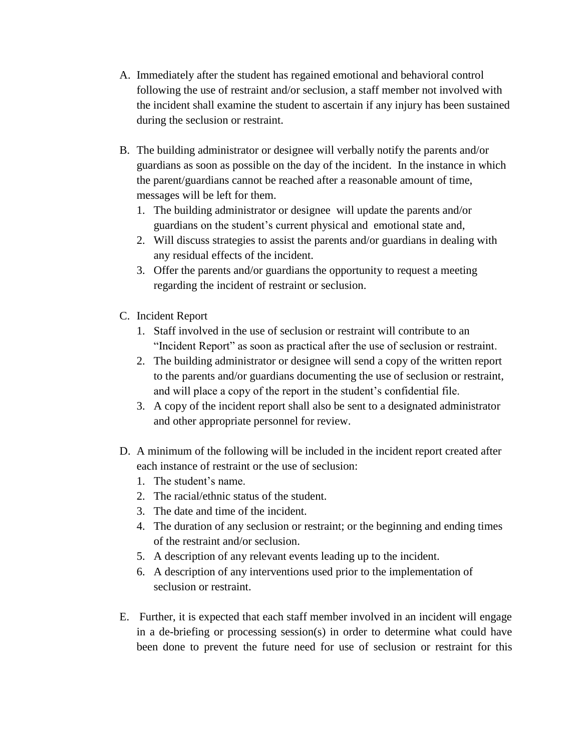- A. Immediately after the student has regained emotional and behavioral control following the use of restraint and/or seclusion, a staff member not involved with the incident shall examine the student to ascertain if any injury has been sustained during the seclusion or restraint.
- B. The building administrator or designee will verbally notify the parents and/or guardians as soon as possible on the day of the incident. In the instance in which the parent/guardians cannot be reached after a reasonable amount of time, messages will be left for them.
	- 1. The building administrator or designee will update the parents and/or guardians on the student's current physical and emotional state and,
	- 2. Will discuss strategies to assist the parents and/or guardians in dealing with any residual effects of the incident.
	- 3. Offer the parents and/or guardians the opportunity to request a meeting regarding the incident of restraint or seclusion.
- C. Incident Report
	- 1. Staff involved in the use of seclusion or restraint will contribute to an "Incident Report" as soon as practical after the use of seclusion or restraint.
	- 2. The building administrator or designee will send a copy of the written report to the parents and/or guardians documenting the use of seclusion or restraint, and will place a copy of the report in the student's confidential file.
	- 3. A copy of the incident report shall also be sent to a designated administrator and other appropriate personnel for review.
- D. A minimum of the following will be included in the incident report created after each instance of restraint or the use of seclusion:
	- 1. The student's name.
	- 2. The racial/ethnic status of the student.
	- 3. The date and time of the incident.
	- 4. The duration of any seclusion or restraint; or the beginning and ending times of the restraint and/or seclusion.
	- 5. A description of any relevant events leading up to the incident.
	- 6. A description of any interventions used prior to the implementation of seclusion or restraint.
- E. Further, it is expected that each staff member involved in an incident will engage in a de-briefing or processing session(s) in order to determine what could have been done to prevent the future need for use of seclusion or restraint for this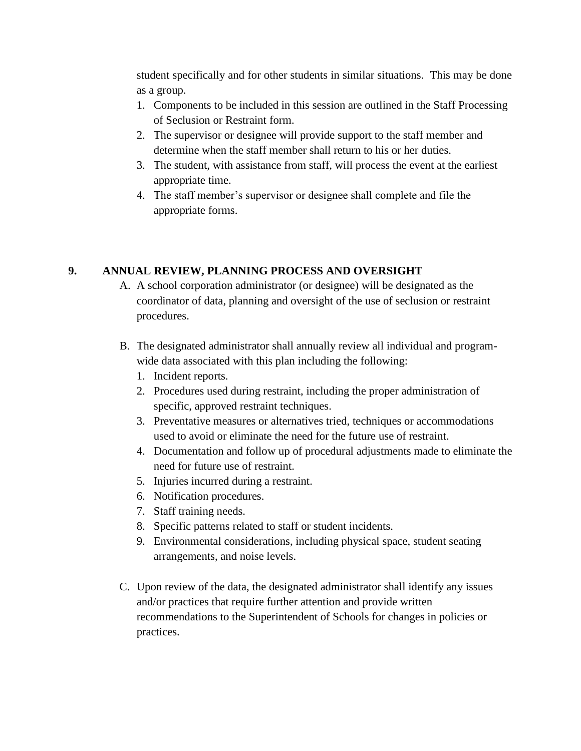student specifically and for other students in similar situations. This may be done as a group.

- 1. Components to be included in this session are outlined in the Staff Processing of Seclusion or Restraint form.
- 2. The supervisor or designee will provide support to the staff member and determine when the staff member shall return to his or her duties.
- 3. The student, with assistance from staff, will process the event at the earliest appropriate time.
- 4. The staff member's supervisor or designee shall complete and file the appropriate forms.

### **9. ANNUAL REVIEW, PLANNING PROCESS AND OVERSIGHT**

- A. A school corporation administrator (or designee) will be designated as the coordinator of data, planning and oversight of the use of seclusion or restraint procedures.
- B. The designated administrator shall annually review all individual and programwide data associated with this plan including the following:
	- 1. Incident reports.
	- 2. Procedures used during restraint, including the proper administration of specific, approved restraint techniques.
	- 3. Preventative measures or alternatives tried, techniques or accommodations used to avoid or eliminate the need for the future use of restraint.
	- 4. Documentation and follow up of procedural adjustments made to eliminate the need for future use of restraint.
	- 5. Injuries incurred during a restraint.
	- 6. Notification procedures.
	- 7. Staff training needs.
	- 8. Specific patterns related to staff or student incidents.
	- 9. Environmental considerations, including physical space, student seating arrangements, and noise levels.
- C. Upon review of the data, the designated administrator shall identify any issues and/or practices that require further attention and provide written recommendations to the Superintendent of Schools for changes in policies or practices.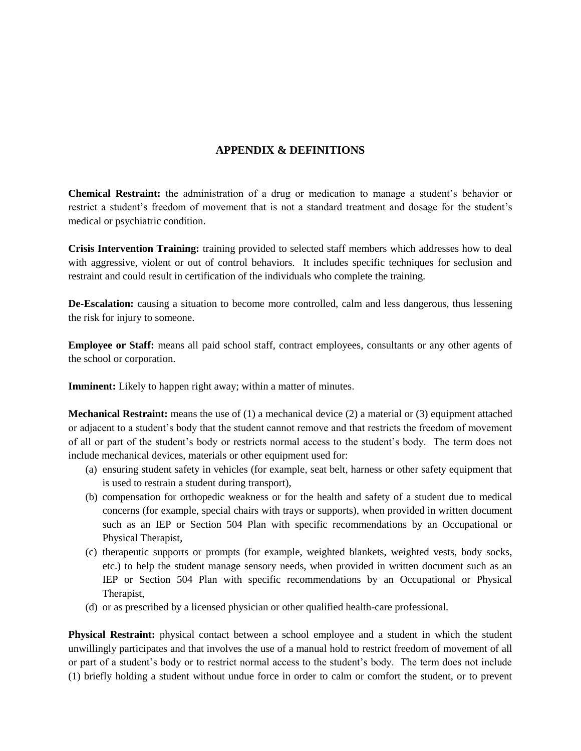#### **APPENDIX & DEFINITIONS**

**Chemical Restraint:** the administration of a drug or medication to manage a student's behavior or restrict a student's freedom of movement that is not a standard treatment and dosage for the student's medical or psychiatric condition.

**Crisis Intervention Training:** training provided to selected staff members which addresses how to deal with aggressive, violent or out of control behaviors. It includes specific techniques for seclusion and restraint and could result in certification of the individuals who complete the training.

**De-Escalation:** causing a situation to become more controlled, calm and less dangerous, thus lessening the risk for injury to someone.

**Employee or Staff:** means all paid school staff, contract employees, consultants or any other agents of the school or corporation.

**Imminent:** Likely to happen right away; within a matter of minutes.

**Mechanical Restraint:** means the use of (1) a mechanical device (2) a material or (3) equipment attached or adjacent to a student's body that the student cannot remove and that restricts the freedom of movement of all or part of the student's body or restricts normal access to the student's body. The term does not include mechanical devices, materials or other equipment used for:

- (a) ensuring student safety in vehicles (for example, seat belt, harness or other safety equipment that is used to restrain a student during transport),
- (b) compensation for orthopedic weakness or for the health and safety of a student due to medical concerns (for example, special chairs with trays or supports), when provided in written document such as an IEP or Section 504 Plan with specific recommendations by an Occupational or Physical Therapist,
- (c) therapeutic supports or prompts (for example, weighted blankets, weighted vests, body socks, etc.) to help the student manage sensory needs, when provided in written document such as an IEP or Section 504 Plan with specific recommendations by an Occupational or Physical Therapist,
- (d) or as prescribed by a licensed physician or other qualified health-care professional.

**Physical Restraint:** physical contact between a school employee and a student in which the student unwillingly participates and that involves the use of a manual hold to restrict freedom of movement of all or part of a student's body or to restrict normal access to the student's body. The term does not include (1) briefly holding a student without undue force in order to calm or comfort the student, or to prevent